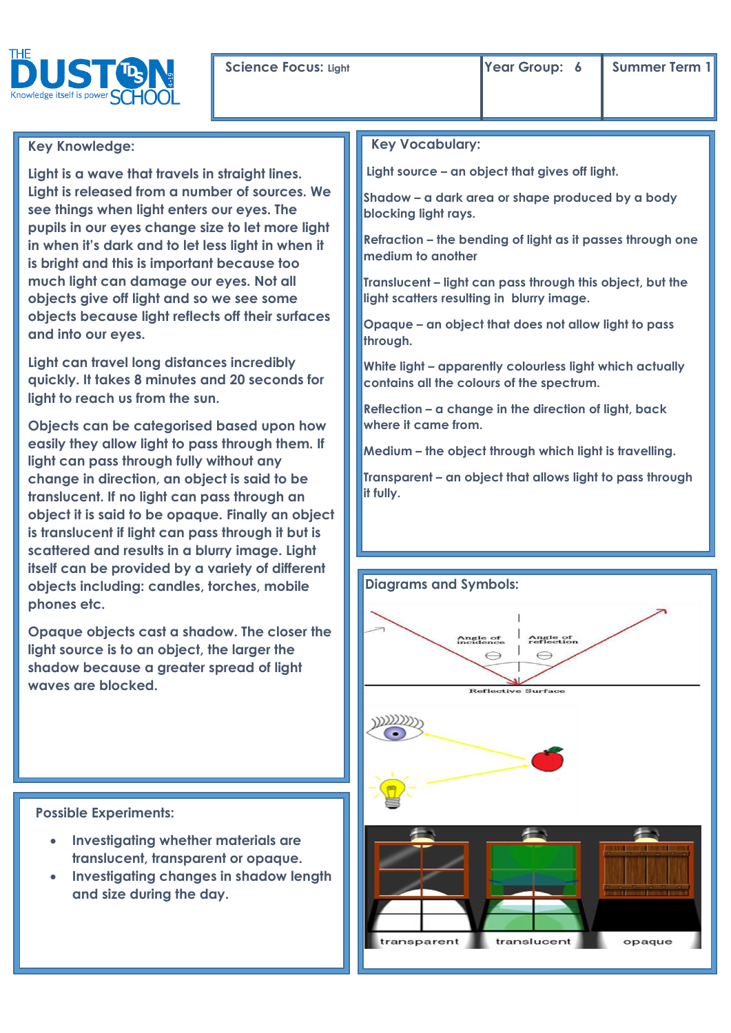## **Key Knowledge:**

**Light is a wave that travels in straight lines. Light is released from a number of sources. We see things when light enters our eyes. The pupils in our eyes change size to let more light in when it's dark and to let less light in when it is bright and this is important because too much light can damage our eyes. Not all objects give off light and so we see some objects because light reflects off their surfaces and into our eyes.**

**Light can travel long distances incredibly quickly. It takes 8 minutes and 20 seconds for light to reach us from the sun.**

**Objects can be categorised based upon how easily they allow light to pass through them. If light can pass through fully without any change in direction, an object is said to be translucent. If no light can pass through an object it is said to be opaque. Finally an object is translucent if light can pass through it but is scattered and results in a blurry image. Light itself can be provided by a variety of different objects including: candles, torches, mobile phones etc.** 

**Opaque objects cast a shadow. The closer the light source is to an object, the larger the shadow because a greater spread of light waves are blocked.**

 **Possible Experiments:** 

- **Investigating whether materials are translucent, transparent or opaque.**
- **Investigating changes in shadow length and size during the day.**

## **Key Vocabulary:**

**Light source – an object that gives off light.** 

**Shadow – a dark area or shape produced by a body blocking light rays.**

**Refraction – the bending of light as it passes through one medium to another**

**Translucent – light can pass through this object, but the light scatters resulting in blurry image.**

**Opaque – an object that does not allow light to pass through.**

**White light – apparently colourless light which actually contains all the colours of the spectrum.**

**Reflection – a change in the direction of light, back where it came from.**

**Medium – the object through which light is travelling.**

**Transparent – an object that allows light to pass through it fully.**